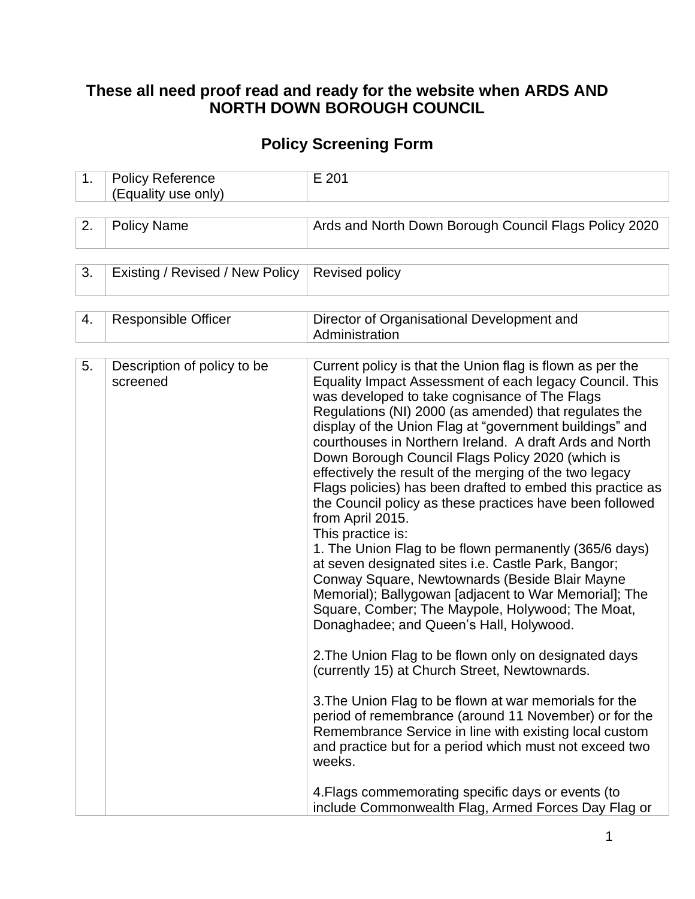## **These all need proof read and ready for the website when ARDS AND NORTH DOWN BOROUGH COUNCIL**

## **Policy Screening Form**

| 1. | <b>Policy Reference</b><br>(Equality use only) | E 201                                                                                                                                                                                                                                                                                                                                                                                                                                                                                                                                                                                                                                                                                                                                                                                                                                                                                                                                                                                                                                                                                                                                                                                                                                                                                                                                                                                                                                      |
|----|------------------------------------------------|--------------------------------------------------------------------------------------------------------------------------------------------------------------------------------------------------------------------------------------------------------------------------------------------------------------------------------------------------------------------------------------------------------------------------------------------------------------------------------------------------------------------------------------------------------------------------------------------------------------------------------------------------------------------------------------------------------------------------------------------------------------------------------------------------------------------------------------------------------------------------------------------------------------------------------------------------------------------------------------------------------------------------------------------------------------------------------------------------------------------------------------------------------------------------------------------------------------------------------------------------------------------------------------------------------------------------------------------------------------------------------------------------------------------------------------------|
|    |                                                |                                                                                                                                                                                                                                                                                                                                                                                                                                                                                                                                                                                                                                                                                                                                                                                                                                                                                                                                                                                                                                                                                                                                                                                                                                                                                                                                                                                                                                            |
| 2. | <b>Policy Name</b>                             | Ards and North Down Borough Council Flags Policy 2020                                                                                                                                                                                                                                                                                                                                                                                                                                                                                                                                                                                                                                                                                                                                                                                                                                                                                                                                                                                                                                                                                                                                                                                                                                                                                                                                                                                      |
|    |                                                |                                                                                                                                                                                                                                                                                                                                                                                                                                                                                                                                                                                                                                                                                                                                                                                                                                                                                                                                                                                                                                                                                                                                                                                                                                                                                                                                                                                                                                            |
| 3. | Existing / Revised / New Policy                | <b>Revised policy</b>                                                                                                                                                                                                                                                                                                                                                                                                                                                                                                                                                                                                                                                                                                                                                                                                                                                                                                                                                                                                                                                                                                                                                                                                                                                                                                                                                                                                                      |
|    |                                                |                                                                                                                                                                                                                                                                                                                                                                                                                                                                                                                                                                                                                                                                                                                                                                                                                                                                                                                                                                                                                                                                                                                                                                                                                                                                                                                                                                                                                                            |
| 4. | Responsible Officer                            | Director of Organisational Development and<br>Administration                                                                                                                                                                                                                                                                                                                                                                                                                                                                                                                                                                                                                                                                                                                                                                                                                                                                                                                                                                                                                                                                                                                                                                                                                                                                                                                                                                               |
|    |                                                |                                                                                                                                                                                                                                                                                                                                                                                                                                                                                                                                                                                                                                                                                                                                                                                                                                                                                                                                                                                                                                                                                                                                                                                                                                                                                                                                                                                                                                            |
| 5. | Description of policy to be<br>screened        | Current policy is that the Union flag is flown as per the<br>Equality Impact Assessment of each legacy Council. This<br>was developed to take cognisance of The Flags<br>Regulations (NI) 2000 (as amended) that regulates the<br>display of the Union Flag at "government buildings" and<br>courthouses in Northern Ireland. A draft Ards and North<br>Down Borough Council Flags Policy 2020 (which is<br>effectively the result of the merging of the two legacy<br>Flags policies) has been drafted to embed this practice as<br>the Council policy as these practices have been followed<br>from April 2015.<br>This practice is:<br>1. The Union Flag to be flown permanently (365/6 days)<br>at seven designated sites i.e. Castle Park, Bangor;<br>Conway Square, Newtownards (Beside Blair Mayne<br>Memorial); Ballygowan [adjacent to War Memorial]; The<br>Square, Comber; The Maypole, Holywood; The Moat,<br>Donaghadee; and Queen's Hall, Holywood.<br>2. The Union Flag to be flown only on designated days<br>(currently 15) at Church Street, Newtownards.<br>3. The Union Flag to be flown at war memorials for the<br>period of remembrance (around 11 November) or for the<br>Remembrance Service in line with existing local custom<br>and practice but for a period which must not exceed two<br>weeks.<br>4. Flags commemorating specific days or events (to<br>include Commonwealth Flag, Armed Forces Day Flag or |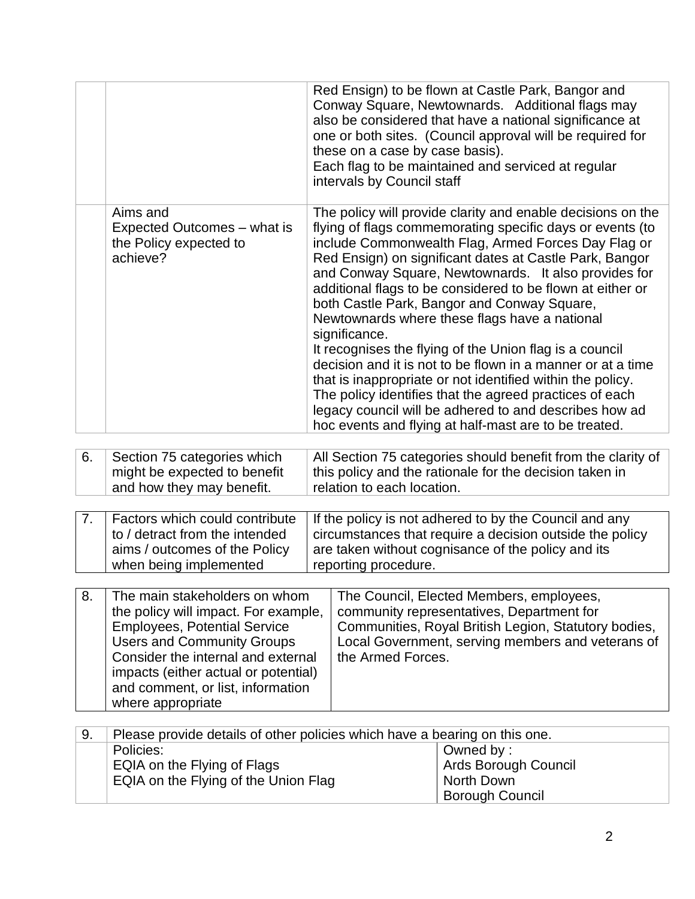|    |                                                                                                                                                                                                                                                                                           | these on a case by case basis).<br>intervals by Council staff                                                                                                                                                           | Red Ensign) to be flown at Castle Park, Bangor and<br>Conway Square, Newtownards. Additional flags may<br>also be considered that have a national significance at<br>one or both sites. (Council approval will be required for<br>Each flag to be maintained and serviced at regular                                                                                                                                                                                                                                                                                                                                                                                                                                                                                                                                                   |  |  |  |  |
|----|-------------------------------------------------------------------------------------------------------------------------------------------------------------------------------------------------------------------------------------------------------------------------------------------|-------------------------------------------------------------------------------------------------------------------------------------------------------------------------------------------------------------------------|----------------------------------------------------------------------------------------------------------------------------------------------------------------------------------------------------------------------------------------------------------------------------------------------------------------------------------------------------------------------------------------------------------------------------------------------------------------------------------------------------------------------------------------------------------------------------------------------------------------------------------------------------------------------------------------------------------------------------------------------------------------------------------------------------------------------------------------|--|--|--|--|
|    | Aims and<br>Expected Outcomes – what is<br>the Policy expected to<br>achieve?                                                                                                                                                                                                             | significance.                                                                                                                                                                                                           | The policy will provide clarity and enable decisions on the<br>flying of flags commemorating specific days or events (to<br>include Commonwealth Flag, Armed Forces Day Flag or<br>Red Ensign) on significant dates at Castle Park, Bangor<br>and Conway Square, Newtownards. It also provides for<br>additional flags to be considered to be flown at either or<br>both Castle Park, Bangor and Conway Square,<br>Newtownards where these flags have a national<br>It recognises the flying of the Union flag is a council<br>decision and it is not to be flown in a manner or at a time<br>that is inappropriate or not identified within the policy.<br>The policy identifies that the agreed practices of each<br>legacy council will be adhered to and describes how ad<br>hoc events and flying at half-mast are to be treated. |  |  |  |  |
| 6. | Section 75 categories which<br>might be expected to benefit<br>and how they may benefit.                                                                                                                                                                                                  | All Section 75 categories should benefit from the clarity of<br>this policy and the rationale for the decision taken in<br>relation to each location.                                                                   |                                                                                                                                                                                                                                                                                                                                                                                                                                                                                                                                                                                                                                                                                                                                                                                                                                        |  |  |  |  |
|    |                                                                                                                                                                                                                                                                                           |                                                                                                                                                                                                                         |                                                                                                                                                                                                                                                                                                                                                                                                                                                                                                                                                                                                                                                                                                                                                                                                                                        |  |  |  |  |
| 7. | Factors which could contribute<br>to / detract from the intended<br>aims / outcomes of the Policy<br>when being implemented                                                                                                                                                               | reporting procedure.                                                                                                                                                                                                    | If the policy is not adhered to by the Council and any<br>circumstances that require a decision outside the policy<br>are taken without cognisance of the policy and its                                                                                                                                                                                                                                                                                                                                                                                                                                                                                                                                                                                                                                                               |  |  |  |  |
|    |                                                                                                                                                                                                                                                                                           |                                                                                                                                                                                                                         |                                                                                                                                                                                                                                                                                                                                                                                                                                                                                                                                                                                                                                                                                                                                                                                                                                        |  |  |  |  |
| 8. | The main stakeholders on whom<br>the policy will impact. For example,<br><b>Employees, Potential Service</b><br><b>Users and Community Groups</b><br>Consider the internal and external<br>impacts (either actual or potential)<br>and comment, or list, information<br>where appropriate | The Council, Elected Members, employees,<br>community representatives, Department for<br>Communities, Royal British Legion, Statutory bodies,<br>Local Government, serving members and veterans of<br>the Armed Forces. |                                                                                                                                                                                                                                                                                                                                                                                                                                                                                                                                                                                                                                                                                                                                                                                                                                        |  |  |  |  |
|    |                                                                                                                                                                                                                                                                                           |                                                                                                                                                                                                                         |                                                                                                                                                                                                                                                                                                                                                                                                                                                                                                                                                                                                                                                                                                                                                                                                                                        |  |  |  |  |
| 9. | Please provide details of other policies which have a bearing on this one.<br>Policies:                                                                                                                                                                                                   |                                                                                                                                                                                                                         | Owned by:                                                                                                                                                                                                                                                                                                                                                                                                                                                                                                                                                                                                                                                                                                                                                                                                                              |  |  |  |  |
|    | EQIA on the Flying of Flags<br>EQIA on the Flying of the Union Flag                                                                                                                                                                                                                       |                                                                                                                                                                                                                         | Ards Borough Council<br>North Down                                                                                                                                                                                                                                                                                                                                                                                                                                                                                                                                                                                                                                                                                                                                                                                                     |  |  |  |  |

Borough Council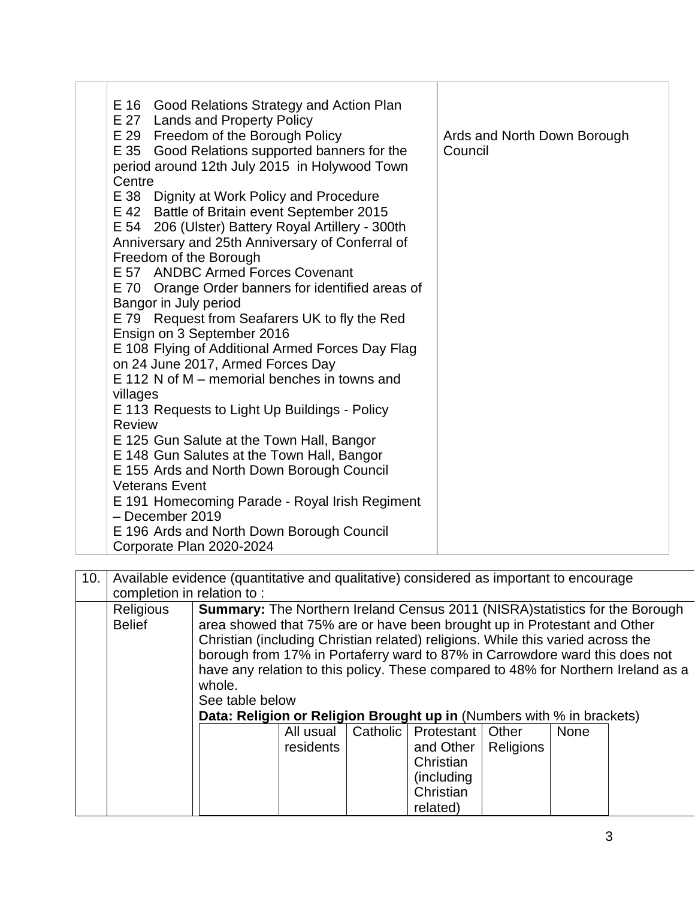| E 16 Good Relations Strategy and Action Plan<br>E 27 Lands and Property Policy<br>E 29 Freedom of the Borough Policy<br>E 35 Good Relations supported banners for the<br>period around 12th July 2015 in Holywood Town<br>Centre | Ards and North Down Borough<br>Council |
|----------------------------------------------------------------------------------------------------------------------------------------------------------------------------------------------------------------------------------|----------------------------------------|
| E 38 Dignity at Work Policy and Procedure                                                                                                                                                                                        |                                        |
| E 42 Battle of Britain event September 2015                                                                                                                                                                                      |                                        |
| E 54 206 (Ulster) Battery Royal Artillery - 300th                                                                                                                                                                                |                                        |
| Anniversary and 25th Anniversary of Conferral of<br>Freedom of the Borough                                                                                                                                                       |                                        |
| E 57 ANDBC Armed Forces Covenant                                                                                                                                                                                                 |                                        |
| E 70 Orange Order banners for identified areas of                                                                                                                                                                                |                                        |
| Bangor in July period                                                                                                                                                                                                            |                                        |
| E 79 Request from Seafarers UK to fly the Red                                                                                                                                                                                    |                                        |
| Ensign on 3 September 2016                                                                                                                                                                                                       |                                        |
| E 108 Flying of Additional Armed Forces Day Flag                                                                                                                                                                                 |                                        |
| on 24 June 2017, Armed Forces Day<br>E 112 N of M – memorial benches in towns and                                                                                                                                                |                                        |
| villages                                                                                                                                                                                                                         |                                        |
| E 113 Requests to Light Up Buildings - Policy                                                                                                                                                                                    |                                        |
| <b>Review</b>                                                                                                                                                                                                                    |                                        |
| E 125 Gun Salute at the Town Hall, Bangor                                                                                                                                                                                        |                                        |
| E 148 Gun Salutes at the Town Hall, Bangor                                                                                                                                                                                       |                                        |
| E 155 Ards and North Down Borough Council                                                                                                                                                                                        |                                        |
| <b>Veterans Event</b>                                                                                                                                                                                                            |                                        |
| E 191 Homecoming Parade - Royal Irish Regiment<br>- December 2019                                                                                                                                                                |                                        |
| E 196 Ards and North Down Borough Council                                                                                                                                                                                        |                                        |
| Corporate Plan 2020-2024                                                                                                                                                                                                         |                                        |

| 10. |                                   | Available evidence (quantitative and qualitative) considered as important to encourage                                                                                                                                                                                                                                                                                                                                                                                                                                              |           |          |                    |                  |             |  |  |
|-----|-----------------------------------|-------------------------------------------------------------------------------------------------------------------------------------------------------------------------------------------------------------------------------------------------------------------------------------------------------------------------------------------------------------------------------------------------------------------------------------------------------------------------------------------------------------------------------------|-----------|----------|--------------------|------------------|-------------|--|--|
|     |                                   | completion in relation to:                                                                                                                                                                                                                                                                                                                                                                                                                                                                                                          |           |          |                    |                  |             |  |  |
|     | <b>Religious</b><br><b>Belief</b> | <b>Summary:</b> The Northern Ireland Census 2011 (NISRA) statistics for the Borough<br>area showed that 75% are or have been brought up in Protestant and Other<br>Christian (including Christian related) religions. While this varied across the<br>borough from 17% in Portaferry ward to 87% in Carrowdore ward this does not<br>have any relation to this policy. These compared to 48% for Northern Ireland as a<br>whole.<br>See table below<br><b>Data: Religion or Religion Brought up in (Numbers with % in brackets)</b> |           |          |                    |                  |             |  |  |
|     |                                   |                                                                                                                                                                                                                                                                                                                                                                                                                                                                                                                                     | All usual | Catholic | Protestant   Other |                  | <b>None</b> |  |  |
|     |                                   |                                                                                                                                                                                                                                                                                                                                                                                                                                                                                                                                     | residents |          | and Other          | <b>Religions</b> |             |  |  |
|     |                                   |                                                                                                                                                                                                                                                                                                                                                                                                                                                                                                                                     |           |          | Christian          |                  |             |  |  |
|     |                                   |                                                                                                                                                                                                                                                                                                                                                                                                                                                                                                                                     |           |          | (including)        |                  |             |  |  |
|     |                                   |                                                                                                                                                                                                                                                                                                                                                                                                                                                                                                                                     |           |          | Christian          |                  |             |  |  |
|     |                                   |                                                                                                                                                                                                                                                                                                                                                                                                                                                                                                                                     |           |          | related)           |                  |             |  |  |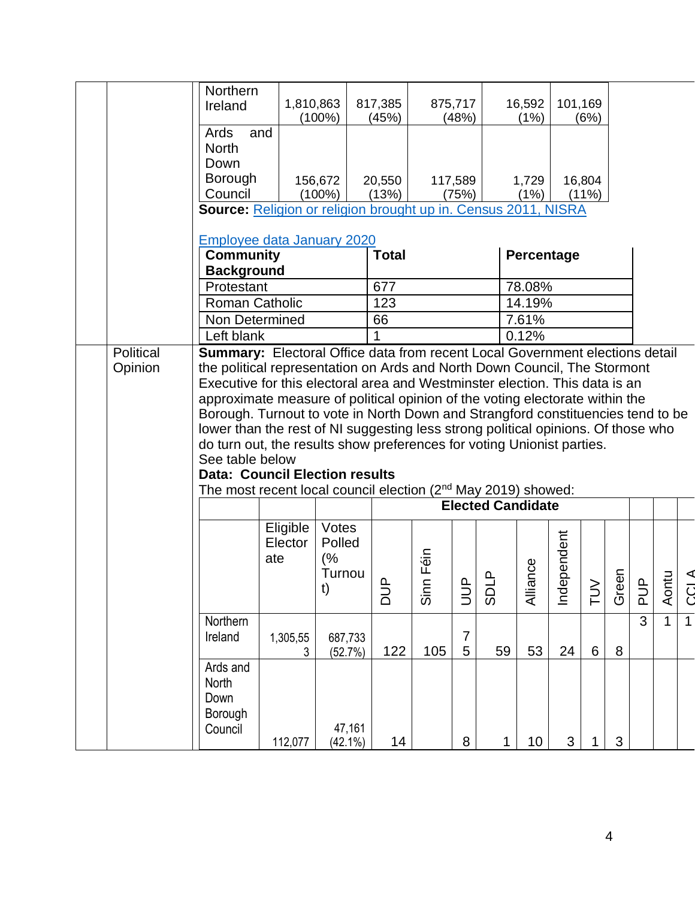|           | Northern<br>Ireland                                                                                                                                             | 1,810,863 |                      | 817,385        |                            | 875,717               |                          | 16,592     | 101,169  |          |       |                   |                |                |
|-----------|-----------------------------------------------------------------------------------------------------------------------------------------------------------------|-----------|----------------------|----------------|----------------------------|-----------------------|--------------------------|------------|----------|----------|-------|-------------------|----------------|----------------|
|           |                                                                                                                                                                 |           | $(100\%)$            | (45%)          |                            | (48%)                 |                          | (1%)       |          | (6%)     |       |                   |                |                |
|           | Ards<br>and                                                                                                                                                     |           |                      |                |                            |                       |                          |            |          |          |       |                   |                |                |
|           | <b>North</b>                                                                                                                                                    |           |                      |                |                            |                       |                          |            |          |          |       |                   |                |                |
|           | Down                                                                                                                                                            |           |                      |                |                            |                       |                          |            |          |          |       |                   |                |                |
|           | <b>Borough</b>                                                                                                                                                  |           | 156,672              | 20,550         |                            | 117,589               |                          | 1,729      |          | 16,804   |       |                   |                |                |
|           | Council<br>Source: Religion or religion brought up in. Census 2011, NISRA                                                                                       |           | $(100\%)$            | (13%)          |                            | (75%)                 |                          | (1%)       |          | $(11\%)$ |       |                   |                |                |
|           |                                                                                                                                                                 |           |                      |                |                            |                       |                          |            |          |          |       |                   |                |                |
|           | <b>Employee data January 2020</b>                                                                                                                               |           |                      |                |                            |                       |                          |            |          |          |       |                   |                |                |
|           | <b>Community</b>                                                                                                                                                |           |                      | <b>Total</b>   |                            |                       |                          | Percentage |          |          |       |                   |                |                |
|           | <b>Background</b>                                                                                                                                               |           |                      |                |                            |                       |                          |            |          |          |       |                   |                |                |
|           | Protestant                                                                                                                                                      |           |                      | 677            |                            |                       |                          | 78.08%     |          |          |       |                   |                |                |
|           | <b>Roman Catholic</b>                                                                                                                                           |           |                      | 123            |                            |                       |                          | 14.19%     |          |          |       |                   |                |                |
|           | Non Determined                                                                                                                                                  |           |                      | 66             |                            |                       |                          | 7.61%      |          |          |       |                   |                |                |
|           | Left blank                                                                                                                                                      |           |                      |                |                            |                       |                          | 0.12%      |          |          |       |                   |                |                |
| Political | <b>Summary:</b> Electoral Office data from recent Local Government elections detail                                                                             |           |                      |                |                            |                       |                          |            |          |          |       |                   |                |                |
| Opinion   | the political representation on Ards and North Down Council, The Stormont                                                                                       |           |                      |                |                            |                       |                          |            |          |          |       |                   |                |                |
|           | Executive for this electoral area and Westminster election. This data is an                                                                                     |           |                      |                |                            |                       |                          |            |          |          |       |                   |                |                |
|           | approximate measure of political opinion of the voting electorate within the<br>Borough. Turnout to vote in North Down and Strangford constituencies tend to be |           |                      |                |                            |                       |                          |            |          |          |       |                   |                |                |
|           | lower than the rest of NI suggesting less strong political opinions. Of those who                                                                               |           |                      |                |                            |                       |                          |            |          |          |       |                   |                |                |
|           | do turn out, the results show preferences for voting Unionist parties.                                                                                          |           |                      |                |                            |                       |                          |            |          |          |       |                   |                |                |
|           | See table below                                                                                                                                                 |           |                      |                |                            |                       |                          |            |          |          |       |                   |                |                |
|           | <b>Data: Council Election results</b>                                                                                                                           |           |                      |                |                            |                       |                          |            |          |          |       |                   |                |                |
|           | The most recent local council election $(2^{nd}$ May 2019) showed:                                                                                              |           |                      |                |                            |                       |                          |            |          |          |       |                   |                |                |
|           |                                                                                                                                                                 |           |                      |                |                            |                       | <b>Elected Candidate</b> |            |          |          |       |                   |                |                |
|           |                                                                                                                                                                 | Eligible  | Votes                |                |                            |                       |                          |            |          |          |       |                   |                |                |
|           |                                                                                                                                                                 | Elector   | Polled               |                |                            |                       |                          |            | ependent |          |       |                   |                |                |
|           |                                                                                                                                                                 | ate       | (%                   |                | in Féin                    |                       |                          |            |          |          |       |                   |                |                |
|           |                                                                                                                                                                 |           | Turnou               | ൨              |                            | $\mathtt{\mathtt{a}}$ | $\mathbf{a}$             | ance       |          | >        |       | $\mathbf{\Omega}$ | 른              |                |
|           |                                                                                                                                                                 |           | t)                   | $\overline{D}$ | $\bar{\tilde{\mathbf{S}}}$ | $\supseteq$           | င္တ                      | ₹          | Ĕ        | 근        | Green | 군                 | $\overline{A}$ | CC.            |
|           | Northern                                                                                                                                                        |           |                      |                |                            |                       |                          |            |          |          |       | 3                 | $\mathbf{1}$   | $\overline{1}$ |
|           | Ireland                                                                                                                                                         | 1,305,55  | 687,733              |                |                            | $\overline{7}$        |                          |            |          |          |       |                   |                |                |
|           |                                                                                                                                                                 | 3         | (52.7%)              | 122            | 105                        | 5                     | 59                       | 53         | 24       | 6        | 8     |                   |                |                |
|           | Ards and                                                                                                                                                        |           |                      |                |                            |                       |                          |            |          |          |       |                   |                |                |
|           | North                                                                                                                                                           |           |                      |                |                            |                       |                          |            |          |          |       |                   |                |                |
|           | Down                                                                                                                                                            |           |                      |                |                            |                       |                          |            |          |          |       |                   |                |                |
|           | Borough                                                                                                                                                         |           |                      |                |                            |                       |                          |            |          |          |       |                   |                |                |
|           | Council                                                                                                                                                         | 112,077   | 47,161<br>$(42.1\%)$ | 14             |                            | 8                     | 1                        | 10         | 3        |          | 3     |                   |                |                |
|           |                                                                                                                                                                 |           |                      |                |                            |                       |                          |            |          |          |       |                   |                |                |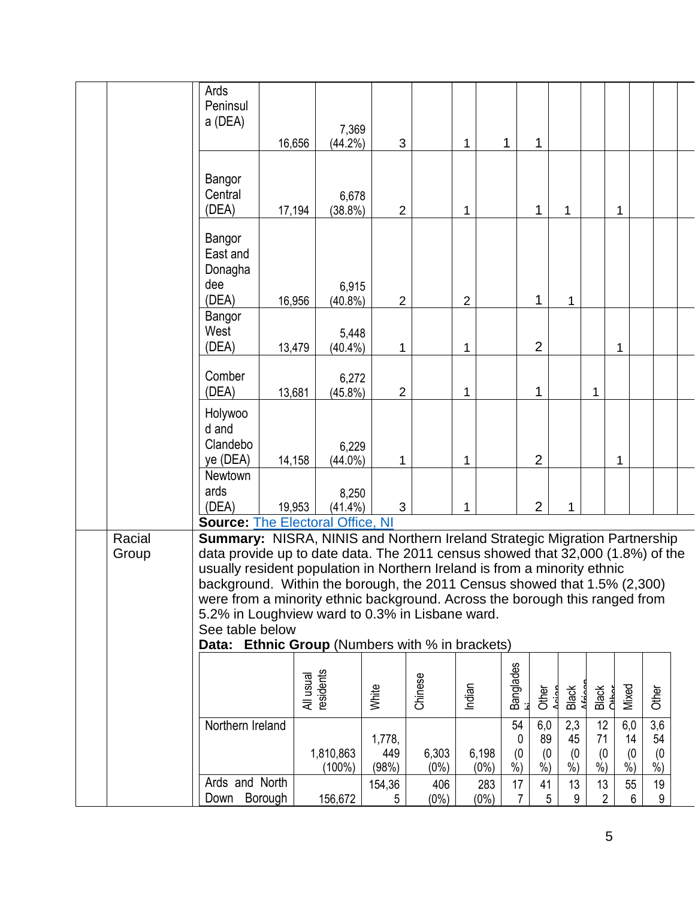|                 | Ards<br>Peninsul<br>a (DEA)                                                                                                                                                                                                                                                                                                                                                                                                                                                                                                                                                     | 16,656                 | 7,369<br>$(44.2\%)$<br>3              |                  | 1                | 1                               | 1                                 |                                |                               |                                  |                          |  |
|-----------------|---------------------------------------------------------------------------------------------------------------------------------------------------------------------------------------------------------------------------------------------------------------------------------------------------------------------------------------------------------------------------------------------------------------------------------------------------------------------------------------------------------------------------------------------------------------------------------|------------------------|---------------------------------------|------------------|------------------|---------------------------------|-----------------------------------|--------------------------------|-------------------------------|----------------------------------|--------------------------|--|
|                 | Bangor<br>Central<br>(DEA)                                                                                                                                                                                                                                                                                                                                                                                                                                                                                                                                                      | 17,194                 | 6,678<br>$(38.8\%)$<br>$\overline{2}$ |                  | 1                |                                 | 1                                 | 1                              |                               | 1                                |                          |  |
|                 | Bangor<br>East and<br>Donagha<br>dee<br>(DEA)                                                                                                                                                                                                                                                                                                                                                                                                                                                                                                                                   | 16,956                 | 6,915<br>$(40.8\%)$<br>$\overline{2}$ |                  | $\overline{2}$   |                                 | 1                                 | 1                              |                               |                                  |                          |  |
|                 | Bangor<br>West<br>(DEA)                                                                                                                                                                                                                                                                                                                                                                                                                                                                                                                                                         | 13,479                 | 5,448<br>$(40.4\%)$<br>1              |                  | 1                |                                 | $\overline{2}$                    |                                |                               | 1                                |                          |  |
|                 | Comber<br>(DEA)                                                                                                                                                                                                                                                                                                                                                                                                                                                                                                                                                                 | 13,681                 | 6,272<br>$\overline{2}$<br>$(45.8\%)$ |                  | 1                |                                 | 1                                 |                                | 1                             |                                  |                          |  |
|                 | Holywoo<br>d and<br>Clandebo<br>ye (DEA)                                                                                                                                                                                                                                                                                                                                                                                                                                                                                                                                        | 14,158                 | 6,229<br>$(44.0\%)$<br>1              |                  | 1                |                                 | $\overline{2}$                    |                                |                               | 1                                |                          |  |
|                 | Newtown<br>ards<br>(DEA)                                                                                                                                                                                                                                                                                                                                                                                                                                                                                                                                                        | 19,953                 | 8,250<br>$(41.4\%)$<br>3              |                  | 1                |                                 | $\overline{2}$                    | 1                              |                               |                                  |                          |  |
| Racial<br>Group | <b>Source: The Electoral Office, NI</b><br>Summary: NISRA, NINIS and Northern Ireland Strategic Migration Partnership<br>data provide up to date data. The 2011 census showed that 32,000 (1.8%) of the<br>usually resident population in Northern Ireland is from a minority ethnic<br>background. Within the borough, the 2011 Census showed that 1.5% (2,300)<br>were from a minority ethnic background. Across the borough this ranged from<br>5.2% in Loughview ward to 0.3% in Lisbane ward.<br>See table below<br><b>Data: Ethnic Group</b> (Numbers with % in brackets) |                        |                                       |                  |                  |                                 |                                   |                                |                               |                                  |                          |  |
|                 |                                                                                                                                                                                                                                                                                                                                                                                                                                                                                                                                                                                 | All usual<br>residents | White                                 | Chinese          | Indian           | <b>Banglades</b>                | Other                             | Black                          | Black<br>Cthor                | Mixed                            | Other                    |  |
|                 | Northern Ireland                                                                                                                                                                                                                                                                                                                                                                                                                                                                                                                                                                | 1,810,863<br>(100%)    | 1,778,<br>449<br>(98%)                | 6,303<br>$(0\%)$ | 6,198<br>$(0\%)$ | 54<br>0<br>(0)<br>$\frac{6}{9}$ | 6,0<br>89<br>(0)<br>$\frac{9}{6}$ | 2,3<br>45<br>(0)<br>$\dot{\%}$ | 12<br>71<br>(0)<br>$\dot{\%}$ | 6,0<br>14<br>(0<br>$\frac{0}{0}$ | 3,6<br>54<br>(0)<br>$\%$ |  |
|                 | Ards and North<br>Borough<br>Down                                                                                                                                                                                                                                                                                                                                                                                                                                                                                                                                               | 156,672                | 154,36<br>5                           | 406<br>$(0\%)$   | $(0\%)$          | 17<br>283<br>7                  | 41<br>5                           | 13<br>9                        | 13<br>$\overline{2}$          | 55<br>6                          | 19<br>9                  |  |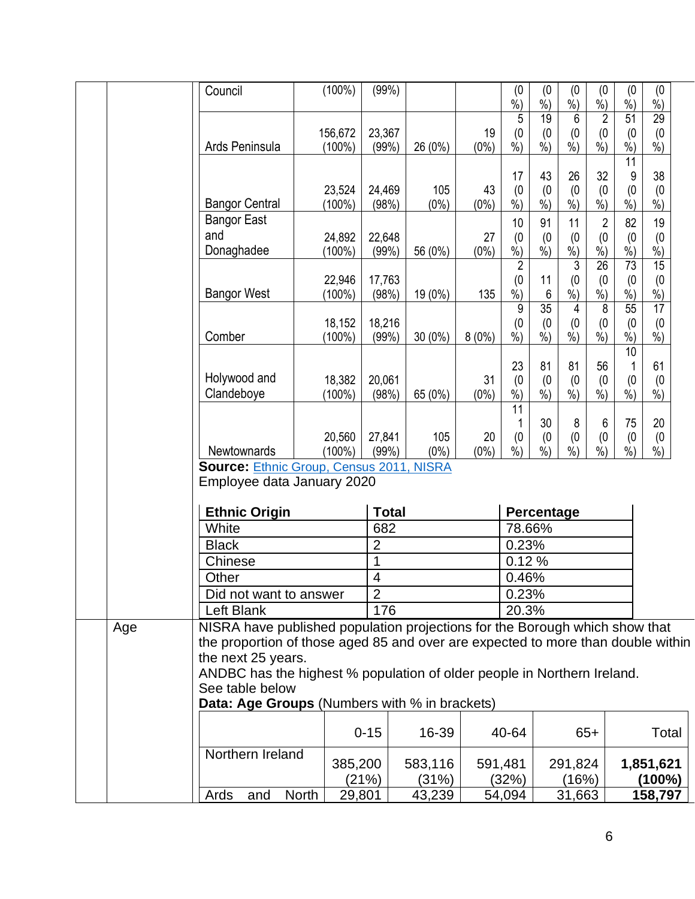|     | Council                                                                          | (100%)              | (99%)           |                |               | (0)<br>$\frac{9}{6}$          | (0)<br>$\frac{9}{6}$      | (0)<br>$\dot{\%}$         | (0)<br>$\dot{\%}$ | (0)<br>$\frac{9}{6}$      | (0)<br>$%$ )         |  |
|-----|----------------------------------------------------------------------------------|---------------------|-----------------|----------------|---------------|-------------------------------|---------------------------|---------------------------|-------------------|---------------------------|----------------------|--|
|     |                                                                                  |                     |                 |                |               | 5                             | 19                        | 6                         | $\overline{2}$    | $\overline{51}$           | 29                   |  |
|     |                                                                                  | 156,672             | 23,367          |                | 19            | (0)                           | (0)                       | (0)                       | (0)               | (0)                       | (0)                  |  |
|     | Ards Peninsula                                                                   | $(100\%)$           | (99%)           | 26 (0%)        | $(0\%)$       | $\frac{1}{2}$                 | $\frac{9}{6}$             | $\overline{\frac{9}{6}})$ | $\dot{\%}$        | $%$ )                     | $\frac{9}{6}$        |  |
|     |                                                                                  |                     |                 |                |               |                               |                           |                           |                   | 11                        |                      |  |
|     |                                                                                  |                     |                 |                |               | 17                            | 43                        | 26                        | 32                | 9                         | 38                   |  |
|     |                                                                                  | 23,524              | 24,469          | 105            | 43            | (0)                           | (0)                       | (0)                       | (0)               | (0)                       | (0)                  |  |
|     | <b>Bangor Central</b>                                                            | $(100\%)$           | (98%)           | $(0\%)$        | $(0\%)$       | $\frac{9}{6}$                 | $%$ )                     | $\frac{9}{6}$             | $\frac{6}{9}$     | $\frac{9}{6}$             | $\frac{0}{0}$        |  |
|     | <b>Bangor East</b>                                                               |                     |                 |                |               | 10                            | 91                        | 11                        | $\overline{c}$    | 82                        | 19                   |  |
|     | and                                                                              | 24,892              | 22,648          |                | 27            | (0)                           | $^{(0}_{%)}$              | $^{(0)}_{%}$              | $^{(0}_{\%)}$     | $^{(0}_{%)}$              | $^{(0}_{\%)}$        |  |
|     | Donaghadee                                                                       | $(100\%)$           | (99%)           | 56 (0%)        | $(0\%)$       | $\vec{\%})$<br>$\overline{2}$ |                           | $\overline{3}$            | $\overline{26}$   | 73                        | $\overline{15}$      |  |
|     |                                                                                  | 22,946              | 17,763          |                |               | (0)                           | 11                        | (0)                       | (0)               | (0)                       | (0)                  |  |
|     | <b>Bangor West</b>                                                               | $(100\%)$           | (98%)           | 19 (0%)        | 135           | %                             | 6                         | $%$ )                     | %                 | $%$ )                     | $%$ )                |  |
|     |                                                                                  |                     |                 |                |               | 9                             | 35                        | 4                         | 8                 | 55                        | $\overline{17}$      |  |
|     |                                                                                  | 18,152              | 18,216          |                |               | (0)                           | (0)                       | (0)                       | (0)               | (0)                       | (0)                  |  |
|     | Comber                                                                           | $(100\%)$           | (99%)           | $30(0\%)$      | $8(0\%)$      | $\overline{\frac{9}{6}})$     | $\overline{\frac{9}{6}})$ | $\dot{\%})$               | $\dot{\%}$        | $\overline{\frac{9}{6}})$ | $\dot{\%}$           |  |
|     |                                                                                  |                     |                 |                |               |                               |                           |                           |                   | 10                        |                      |  |
|     |                                                                                  |                     |                 |                |               | 23                            | 81                        | 81                        | 56                | 1                         | 61                   |  |
|     | Holywood and                                                                     | 18,382              | 20,061          |                | 31            | (0)                           | (0)                       | (0)                       | $^{(0}_{\%)}$     | (0)                       | (0)                  |  |
|     | Clandeboye                                                                       | $(100\%)$           | (98%)           | 65 (0%)        | $(0\%)$       | $\frac{1}{2}$                 | $\frac{9}{6}$             | $\dot{\%})$               |                   | $\dot{\%}$                | $\dot{90}$           |  |
|     |                                                                                  |                     |                 |                |               | 11                            |                           |                           |                   |                           |                      |  |
|     |                                                                                  |                     |                 |                |               |                               | 30                        | 8                         | 6                 | 75                        | 20                   |  |
|     | Newtownards                                                                      | 20,560<br>$(100\%)$ | 27,841<br>(99%) | 105<br>$(0\%)$ | 20<br>$(0\%)$ | (0)<br>$\frac{9}{6}$          | (0)<br>$%$ )              | (0)<br>$\frac{9}{6}$      | (0)<br>$%$ )      | (0)<br>$%$ )              | (0)<br>$\frac{9}{6}$ |  |
|     | <b>Source: Ethnic Group, Census 2011, NISRA</b>                                  |                     |                 |                |               |                               |                           |                           |                   |                           |                      |  |
|     | Employee data January 2020                                                       |                     |                 |                |               |                               |                           |                           |                   |                           |                      |  |
|     | <b>Ethnic Origin</b>                                                             |                     | <b>Total</b>    |                |               |                               | Percentage                |                           |                   |                           |                      |  |
|     | White                                                                            |                     | 682             |                |               | 78.66%                        |                           |                           |                   |                           |                      |  |
|     |                                                                                  |                     | $\overline{2}$  |                |               |                               |                           |                           |                   |                           |                      |  |
|     | <b>Black</b>                                                                     |                     |                 |                |               | 0.23%                         |                           |                           |                   |                           |                      |  |
|     | Chinese                                                                          |                     | 1               |                |               | 0.12%                         |                           |                           |                   |                           |                      |  |
|     | Other                                                                            |                     | $\overline{4}$  |                |               | 0.46%                         |                           |                           |                   |                           |                      |  |
|     | Did not want to answer                                                           |                     | $\overline{2}$  |                |               | 0.23%                         |                           |                           |                   |                           |                      |  |
|     | Left Blank                                                                       |                     | 176             |                |               | 20.3%                         |                           |                           |                   |                           |                      |  |
| Age | NISRA have published population projections for the Borough which show that      |                     |                 |                |               |                               |                           |                           |                   |                           |                      |  |
|     | the proportion of those aged 85 and over are expected to more than double within |                     |                 |                |               |                               |                           |                           |                   |                           |                      |  |
|     | the next 25 years.                                                               |                     |                 |                |               |                               |                           |                           |                   |                           |                      |  |
|     | ANDBC has the highest % population of older people in Northern Ireland.          |                     |                 |                |               |                               |                           |                           |                   |                           |                      |  |
|     | See table below                                                                  |                     |                 |                |               |                               |                           |                           |                   |                           |                      |  |
|     | Data: Age Groups (Numbers with % in brackets)                                    |                     |                 |                |               |                               |                           |                           |                   |                           |                      |  |
|     |                                                                                  |                     |                 |                |               |                               |                           |                           |                   |                           |                      |  |
|     |                                                                                  |                     | $0 - 15$        | 16-39          |               | 40-64                         |                           |                           | $65+$             |                           | Total                |  |
|     | Northern Ireland                                                                 |                     |                 |                |               | 291,824<br>591,481            |                           |                           |                   |                           |                      |  |
|     |                                                                                  | 385,200             | 583,116         |                |               |                               |                           |                           |                   | 1,851,621                 |                      |  |
|     |                                                                                  |                     | (21%)           | (31%)          |               | (32%)                         |                           | (16%)                     |                   |                           | $(100\%)$            |  |
|     | Ards<br>and                                                                      | North               | 29,801          | 43,239         |               | 54,094                        |                           | 31,663                    |                   |                           | 158,797              |  |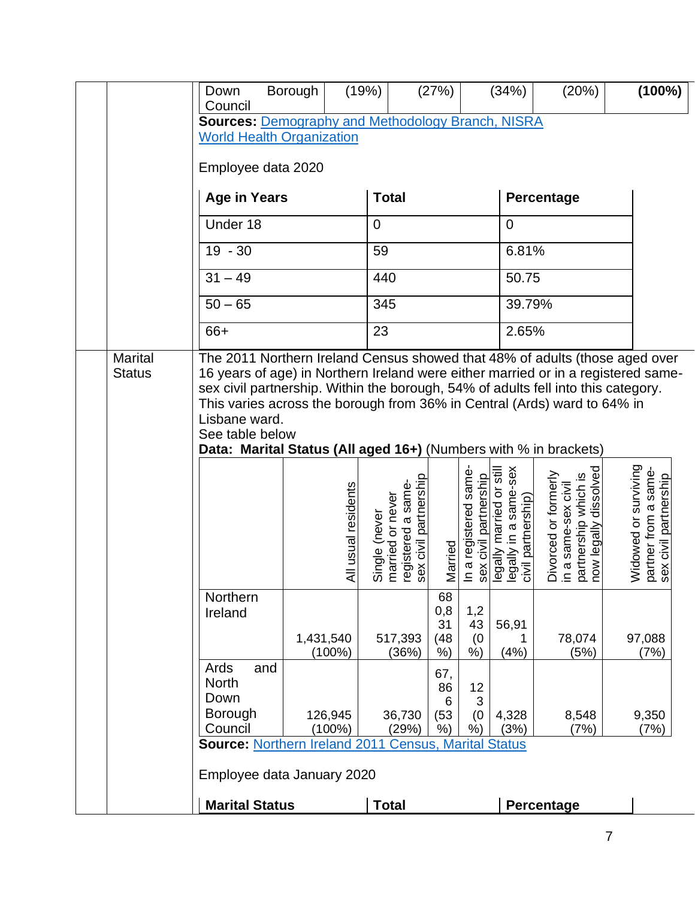| Council                                               |                                                                                                                                                                                                                                                                                                                        |                                                                                  |                                  |                                               | (34%)                                                                   | (20%)                                                                                        | $(100\%)$                                                             |
|-------------------------------------------------------|------------------------------------------------------------------------------------------------------------------------------------------------------------------------------------------------------------------------------------------------------------------------------------------------------------------------|----------------------------------------------------------------------------------|----------------------------------|-----------------------------------------------|-------------------------------------------------------------------------|----------------------------------------------------------------------------------------------|-----------------------------------------------------------------------|
| Employee data 2020                                    | <b>Sources: Demography and Methodology Branch, NISRA</b><br><b>World Health Organization</b>                                                                                                                                                                                                                           |                                                                                  |                                  |                                               |                                                                         |                                                                                              |                                                                       |
| <b>Age in Years</b>                                   |                                                                                                                                                                                                                                                                                                                        | <b>Total</b>                                                                     |                                  |                                               |                                                                         | Percentage                                                                                   |                                                                       |
| Under 18                                              |                                                                                                                                                                                                                                                                                                                        | $\mathbf 0$                                                                      |                                  |                                               | $\mathbf 0$                                                             |                                                                                              |                                                                       |
| $19 - 30$                                             |                                                                                                                                                                                                                                                                                                                        | 59                                                                               |                                  |                                               | 6.81%                                                                   |                                                                                              |                                                                       |
| $31 - 49$                                             |                                                                                                                                                                                                                                                                                                                        | 440                                                                              |                                  |                                               | 50.75                                                                   |                                                                                              |                                                                       |
| $50 - 65$                                             |                                                                                                                                                                                                                                                                                                                        | 345                                                                              |                                  |                                               | 39.79%                                                                  |                                                                                              |                                                                       |
| 66+                                                   |                                                                                                                                                                                                                                                                                                                        | 23                                                                               |                                  |                                               | 2.65%                                                                   |                                                                                              |                                                                       |
| <b>Status</b><br>Lisbane ward.<br>See table below     | 16 years of age) in Northern Ireland were either married or in a registered same-<br>sex civil partnership. Within the borough, 54% of adults fell into this category.<br>This varies across the borough from 36% in Central (Ards) ward to 64% in<br>Data: Marital Status (All aged 16+) (Numbers with % in brackets) |                                                                                  |                                  |                                               |                                                                         |                                                                                              |                                                                       |
|                                                       | All usual residents                                                                                                                                                                                                                                                                                                    | registered a same-<br>sex civil partnership<br>married or never<br>Single (never | Married                          | In a registered same<br>sex civil partnership | legally married or still<br>legally in a same-sex<br>civil partnership) | partnership which is<br>now legally dissolved<br>Divorced or formerly<br>in a same-sex civil | Widowed or surviving<br>partner from a same-<br>sex civil partnership |
| Northern<br>Ireland                                   | 1,431,540<br>$(100\%)$                                                                                                                                                                                                                                                                                                 | 517,393<br>(36%)                                                                 | 68<br>0,8<br>31<br>(48)<br>$%$ ) | 1,2<br>43<br>(0)<br>$%$ )                     | 56,91<br>(4%)                                                           | 78,074<br>(5%)                                                                               | 97,088<br>(7%)                                                        |
| Ards<br>and<br><b>North</b><br>Down<br><b>Borough</b> | 126,945                                                                                                                                                                                                                                                                                                                | 36,730                                                                           | 67,<br>86<br>6<br>(53)           | 12<br>3<br>(0)                                | 4,328                                                                   | 8,548                                                                                        | 9,350                                                                 |
| Council                                               | $(100\%)$                                                                                                                                                                                                                                                                                                              | (29%)                                                                            | %)                               | $%$ )                                         | (3%)                                                                    | (7%)                                                                                         | (7%)                                                                  |
| <b>Marital Status</b>                                 | <b>Source: Northern Ireland 2011</b><br>Employee data January 2020                                                                                                                                                                                                                                                     | <b>Census, Marital Status</b><br><b>Total</b>                                    |                                  |                                               |                                                                         | Percentage                                                                                   |                                                                       |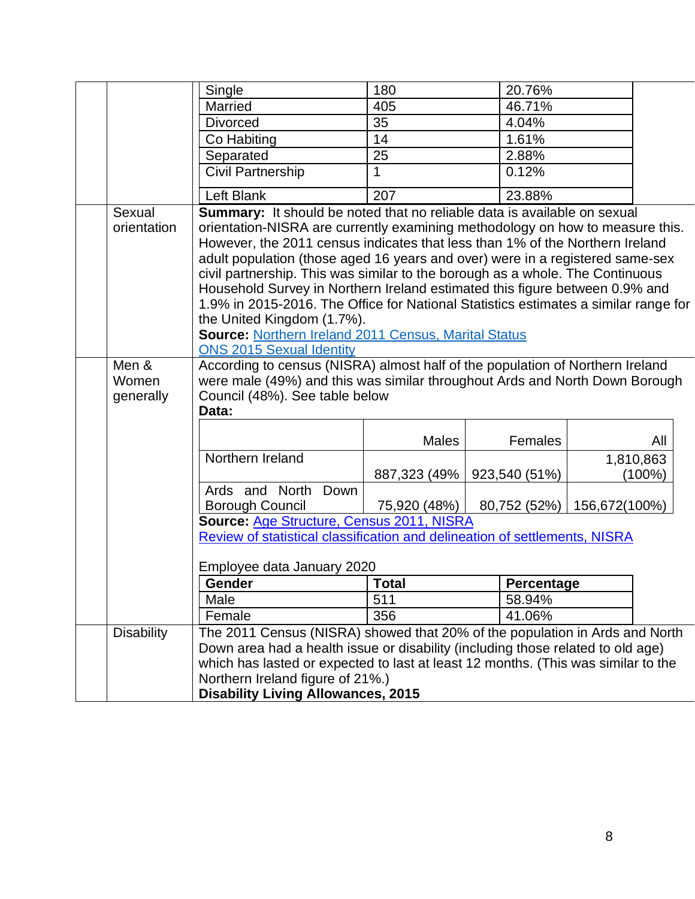|                             | Single                                                                                                                                                                                                                                                                                                                                                                                                                                                                                                                                                                                                                                                                                                            | 180          | 20.76%            |               |                        |
|-----------------------------|-------------------------------------------------------------------------------------------------------------------------------------------------------------------------------------------------------------------------------------------------------------------------------------------------------------------------------------------------------------------------------------------------------------------------------------------------------------------------------------------------------------------------------------------------------------------------------------------------------------------------------------------------------------------------------------------------------------------|--------------|-------------------|---------------|------------------------|
|                             | Married                                                                                                                                                                                                                                                                                                                                                                                                                                                                                                                                                                                                                                                                                                           | 405          | 46.71%            |               |                        |
|                             | <b>Divorced</b>                                                                                                                                                                                                                                                                                                                                                                                                                                                                                                                                                                                                                                                                                                   | 35           | 4.04%             |               |                        |
|                             | Co Habiting                                                                                                                                                                                                                                                                                                                                                                                                                                                                                                                                                                                                                                                                                                       | 14           | 1.61%             |               |                        |
|                             | Separated                                                                                                                                                                                                                                                                                                                                                                                                                                                                                                                                                                                                                                                                                                         | 25           | 2.88%             |               |                        |
|                             | Civil Partnership                                                                                                                                                                                                                                                                                                                                                                                                                                                                                                                                                                                                                                                                                                 | 1            | 0.12%             |               |                        |
|                             | Left Blank                                                                                                                                                                                                                                                                                                                                                                                                                                                                                                                                                                                                                                                                                                        | 207          | 23.88%            |               |                        |
| Sexual<br>orientation       | Summary: It should be noted that no reliable data is available on sexual<br>orientation-NISRA are currently examining methodology on how to measure this.<br>However, the 2011 census indicates that less than 1% of the Northern Ireland<br>adult population (those aged 16 years and over) were in a registered same-sex<br>civil partnership. This was similar to the borough as a whole. The Continuous<br>Household Survey in Northern Ireland estimated this figure between 0.9% and<br>1.9% in 2015-2016. The Office for National Statistics estimates a similar range for<br>the United Kingdom (1.7%).<br><b>Source: Northern Ireland 2011 Census, Marital Status</b><br><b>ONS 2015 Sexual Identity</b> |              |                   |               |                        |
| Men &<br>Women<br>generally | According to census (NISRA) almost half of the population of Northern Ireland<br>were male (49%) and this was similar throughout Ards and North Down Borough<br>Council (48%). See table below<br>Data:                                                                                                                                                                                                                                                                                                                                                                                                                                                                                                           |              |                   |               |                        |
|                             |                                                                                                                                                                                                                                                                                                                                                                                                                                                                                                                                                                                                                                                                                                                   | <b>Males</b> | Females           |               | All                    |
|                             | Northern Ireland                                                                                                                                                                                                                                                                                                                                                                                                                                                                                                                                                                                                                                                                                                  | 887,323 (49% | 923,540 (51%)     |               | 1,810,863<br>$(100\%)$ |
|                             | Ards and North Down                                                                                                                                                                                                                                                                                                                                                                                                                                                                                                                                                                                                                                                                                               |              |                   |               |                        |
|                             | Borough Council                                                                                                                                                                                                                                                                                                                                                                                                                                                                                                                                                                                                                                                                                                   | 75,920 (48%) | 80,752 (52%)      | 156,672(100%) |                        |
|                             | Source: Age Structure, Census 2011, NISRA                                                                                                                                                                                                                                                                                                                                                                                                                                                                                                                                                                                                                                                                         |              |                   |               |                        |
|                             | Review of statistical classification and delineation of settlements, NISRA                                                                                                                                                                                                                                                                                                                                                                                                                                                                                                                                                                                                                                        |              |                   |               |                        |
|                             | Employee data January 2020                                                                                                                                                                                                                                                                                                                                                                                                                                                                                                                                                                                                                                                                                        |              |                   |               |                        |
|                             | Gender                                                                                                                                                                                                                                                                                                                                                                                                                                                                                                                                                                                                                                                                                                            | <b>Total</b> | <b>Percentage</b> |               |                        |
|                             | Male                                                                                                                                                                                                                                                                                                                                                                                                                                                                                                                                                                                                                                                                                                              | 511          | 58.94%            |               |                        |
|                             | Female                                                                                                                                                                                                                                                                                                                                                                                                                                                                                                                                                                                                                                                                                                            | 356          | 41.06%            |               |                        |
| <b>Disability</b>           | The 2011 Census (NISRA) showed that 20% of the population in Ards and North<br>Down area had a health issue or disability (including those related to old age)<br>which has lasted or expected to last at least 12 months. (This was similar to the<br>Northern Ireland figure of 21%.)<br><b>Disability Living Allowances, 2015</b>                                                                                                                                                                                                                                                                                                                                                                              |              |                   |               |                        |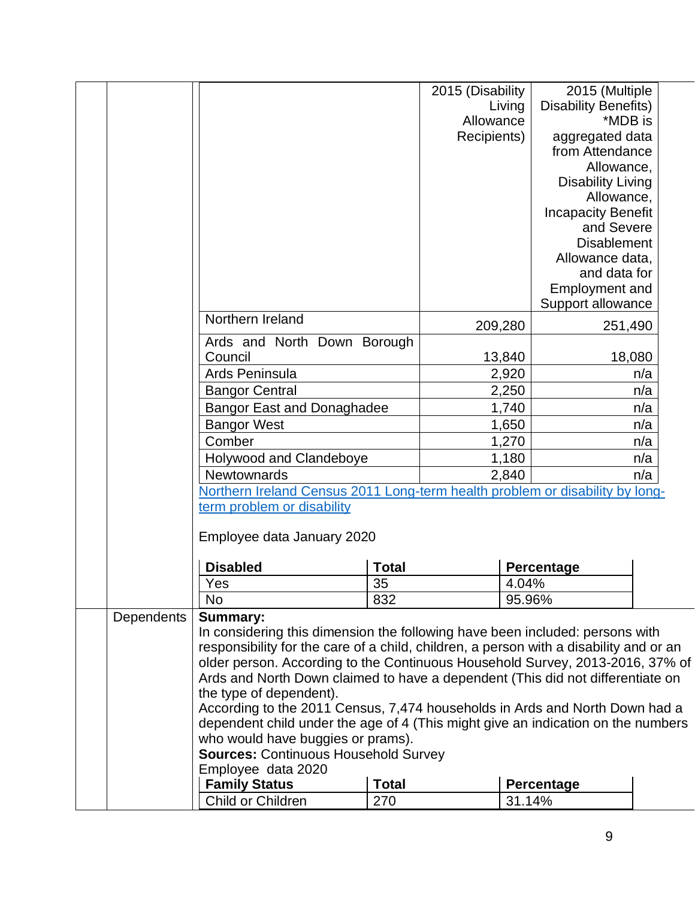|            |                                                                                        |              | 2015 (Disability |         | 2015 (Multiple              |     |
|------------|----------------------------------------------------------------------------------------|--------------|------------------|---------|-----------------------------|-----|
|            |                                                                                        |              |                  | Living  | <b>Disability Benefits)</b> |     |
|            |                                                                                        |              | Allowance        |         | *MDB is                     |     |
|            |                                                                                        |              | Recipients)      |         | aggregated data             |     |
|            |                                                                                        |              |                  |         | from Attendance             |     |
|            |                                                                                        |              |                  |         | Allowance,                  |     |
|            |                                                                                        |              |                  |         | <b>Disability Living</b>    |     |
|            |                                                                                        |              |                  |         | Allowance,                  |     |
|            |                                                                                        |              |                  |         | <b>Incapacity Benefit</b>   |     |
|            |                                                                                        |              |                  |         | and Severe                  |     |
|            |                                                                                        |              |                  |         | <b>Disablement</b>          |     |
|            |                                                                                        |              |                  |         | Allowance data,             |     |
|            |                                                                                        |              |                  |         | and data for                |     |
|            |                                                                                        |              |                  |         | <b>Employment and</b>       |     |
|            |                                                                                        |              |                  |         | Support allowance           |     |
|            | Northern Ireland                                                                       |              |                  | 209,280 | 251,490                     |     |
|            | Ards and North Down Borough                                                            |              |                  |         |                             |     |
|            | Council                                                                                |              |                  | 13,840  | 18,080                      |     |
|            | Ards Peninsula                                                                         |              |                  | 2,920   |                             | n/a |
|            | <b>Bangor Central</b>                                                                  |              |                  | 2,250   |                             | n/a |
|            | <b>Bangor East and Donaghadee</b>                                                      |              |                  | 1,740   |                             | n/a |
|            | <b>Bangor West</b>                                                                     |              |                  | 1,650   |                             | n/a |
|            | Comber                                                                                 |              |                  | 1,270   |                             | n/a |
|            | <b>Holywood and Clandeboye</b>                                                         |              |                  | 1,180   |                             | n/a |
|            | <b>Newtownards</b>                                                                     |              |                  | 2,840   |                             | n/a |
|            | Northern Ireland Census 2011 Long-term health problem or disability by long-           |              |                  |         |                             |     |
|            | term problem or disability                                                             |              |                  |         |                             |     |
|            | Employee data January 2020                                                             |              |                  |         |                             |     |
|            |                                                                                        |              |                  |         |                             |     |
|            | <b>Disabled</b>                                                                        | <b>Total</b> |                  |         | Percentage                  |     |
|            | Yes                                                                                    | 35           |                  | 4.04%   |                             |     |
|            | <b>No</b>                                                                              | 832          |                  | 95.96%  |                             |     |
| Dependents | <b>Summary:</b>                                                                        |              |                  |         |                             |     |
|            | In considering this dimension the following have been included: persons with           |              |                  |         |                             |     |
|            | responsibility for the care of a child, children, a person with a disability and or an |              |                  |         |                             |     |
|            | older person. According to the Continuous Household Survey, 2013-2016, 37% of          |              |                  |         |                             |     |
|            | Ards and North Down claimed to have a dependent (This did not differentiate on         |              |                  |         |                             |     |
|            | the type of dependent).                                                                |              |                  |         |                             |     |
|            | According to the 2011 Census, 7,474 households in Ards and North Down had a            |              |                  |         |                             |     |
|            | dependent child under the age of 4 (This might give an indication on the numbers       |              |                  |         |                             |     |
|            | who would have buggies or prams).                                                      |              |                  |         |                             |     |
|            | <b>Sources: Continuous Household Survey</b>                                            |              |                  |         |                             |     |
|            | Employee data 2020                                                                     |              |                  |         |                             |     |
|            | <b>Family Status</b>                                                                   | <b>Total</b> |                  |         | Percentage                  |     |
|            | Child or Children                                                                      | 270          |                  | 31.14%  |                             |     |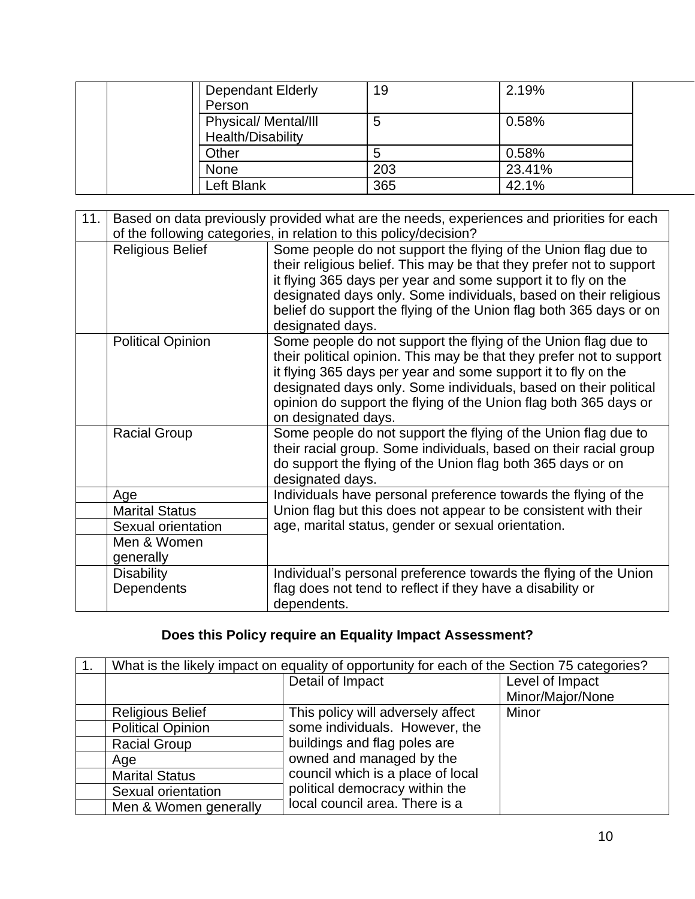| <b>Dependant Elderly</b><br>Person               | 19  | 2.19%  |
|--------------------------------------------------|-----|--------|
| <b>Physical/ Mental/III</b><br>Health/Disability | 5   | 0.58%  |
| Other                                            |     | 0.58%  |
| <b>None</b>                                      | 203 | 23.41% |
| Left Blank                                       | 365 | 42.1%  |

| 11. |                                 | Based on data previously provided what are the needs, experiences and priorities for each<br>of the following categories, in relation to this policy/decision?                                                                                                                                                                                                         |
|-----|---------------------------------|------------------------------------------------------------------------------------------------------------------------------------------------------------------------------------------------------------------------------------------------------------------------------------------------------------------------------------------------------------------------|
|     | <b>Religious Belief</b>         | Some people do not support the flying of the Union flag due to<br>their religious belief. This may be that they prefer not to support<br>it flying 365 days per year and some support it to fly on the<br>designated days only. Some individuals, based on their religious<br>belief do support the flying of the Union flag both 365 days or on<br>designated days.   |
|     | <b>Political Opinion</b>        | Some people do not support the flying of the Union flag due to<br>their political opinion. This may be that they prefer not to support<br>it flying 365 days per year and some support it to fly on the<br>designated days only. Some individuals, based on their political<br>opinion do support the flying of the Union flag both 365 days or<br>on designated days. |
|     | <b>Racial Group</b>             | Some people do not support the flying of the Union flag due to<br>their racial group. Some individuals, based on their racial group<br>do support the flying of the Union flag both 365 days or on<br>designated days.                                                                                                                                                 |
|     | Age                             | Individuals have personal preference towards the flying of the                                                                                                                                                                                                                                                                                                         |
|     | <b>Marital Status</b>           | Union flag but this does not appear to be consistent with their                                                                                                                                                                                                                                                                                                        |
|     | Sexual orientation              | age, marital status, gender or sexual orientation.                                                                                                                                                                                                                                                                                                                     |
|     | Men & Women                     |                                                                                                                                                                                                                                                                                                                                                                        |
|     | generally                       |                                                                                                                                                                                                                                                                                                                                                                        |
|     | <b>Disability</b><br>Dependents | Individual's personal preference towards the flying of the Union<br>flag does not tend to reflect if they have a disability or<br>dependents.                                                                                                                                                                                                                          |

# **Does this Policy require an Equality Impact Assessment?**

| 1. | What is the likely impact on equality of opportunity for each of the Section 75 categories? |                                                                                                                                   |                  |
|----|---------------------------------------------------------------------------------------------|-----------------------------------------------------------------------------------------------------------------------------------|------------------|
|    |                                                                                             | Detail of Impact                                                                                                                  | Level of Impact  |
|    |                                                                                             |                                                                                                                                   | Minor/Major/None |
|    | <b>Religious Belief</b>                                                                     | This policy will adversely affect                                                                                                 | Minor            |
|    | <b>Political Opinion</b>                                                                    | some individuals. However, the                                                                                                    |                  |
|    | <b>Racial Group</b>                                                                         | buildings and flag poles are                                                                                                      |                  |
|    | Age                                                                                         | owned and managed by the<br>council which is a place of local<br>political democracy within the<br>local council area. There is a |                  |
|    | <b>Marital Status</b>                                                                       |                                                                                                                                   |                  |
|    | Sexual orientation                                                                          |                                                                                                                                   |                  |
|    | Men & Women generally                                                                       |                                                                                                                                   |                  |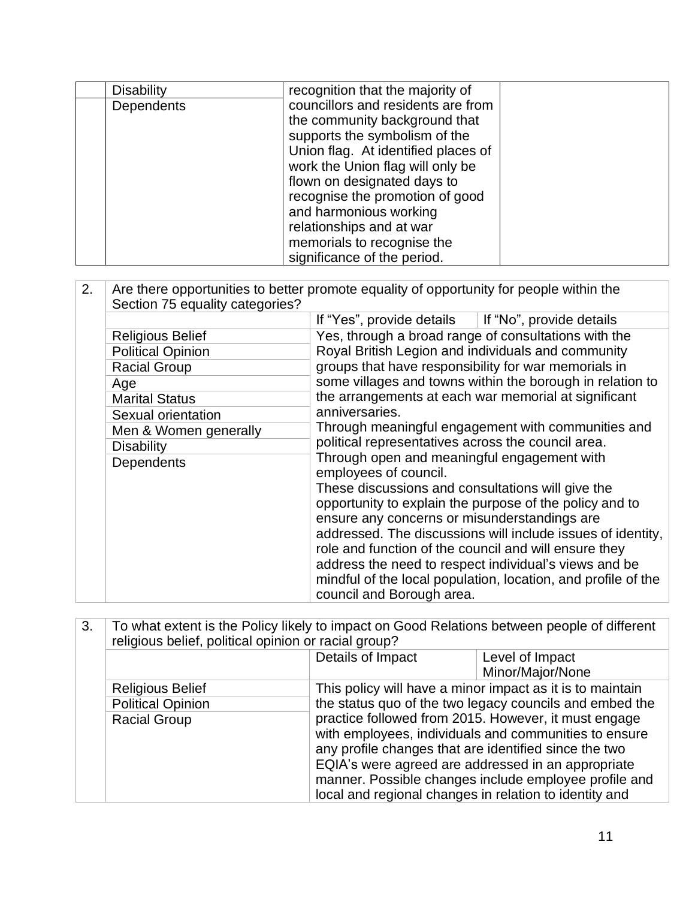| <b>Disability</b> | recognition that the majority of                                                                                                                                                                                                                                                                                                      |  |
|-------------------|---------------------------------------------------------------------------------------------------------------------------------------------------------------------------------------------------------------------------------------------------------------------------------------------------------------------------------------|--|
| Dependents        | councillors and residents are from<br>the community background that<br>supports the symbolism of the<br>Union flag. At identified places of<br>work the Union flag will only be<br>flown on designated days to<br>recognise the promotion of good<br>and harmonious working<br>relationships and at war<br>memorials to recognise the |  |
|                   | significance of the period.                                                                                                                                                                                                                                                                                                           |  |

| 2. | Section 75 equality categories? | Are there opportunities to better promote equality of opportunity for people within the                                                                                   |  |
|----|---------------------------------|---------------------------------------------------------------------------------------------------------------------------------------------------------------------------|--|
|    |                                 | If "Yes", provide details $\parallel$ If "No", provide details                                                                                                            |  |
|    | <b>Religious Belief</b>         | Yes, through a broad range of consultations with the                                                                                                                      |  |
|    | <b>Political Opinion</b>        | Royal British Legion and individuals and community                                                                                                                        |  |
|    | <b>Racial Group</b>             | groups that have responsibility for war memorials in<br>some villages and towns within the borough in relation to<br>the arrangements at each war memorial at significant |  |
|    | Age                             |                                                                                                                                                                           |  |
|    | <b>Marital Status</b>           |                                                                                                                                                                           |  |
|    | Sexual orientation              | anniversaries.                                                                                                                                                            |  |
|    | Men & Women generally           | Through meaningful engagement with communities and                                                                                                                        |  |
|    | <b>Disability</b>               | political representatives across the council area.                                                                                                                        |  |
|    | Dependents                      | Through open and meaningful engagement with<br>employees of council.                                                                                                      |  |
|    |                                 | These discussions and consultations will give the                                                                                                                         |  |
|    |                                 | opportunity to explain the purpose of the policy and to                                                                                                                   |  |
|    |                                 | ensure any concerns or misunderstandings are                                                                                                                              |  |
|    |                                 | addressed. The discussions will include issues of identity,                                                                                                               |  |
|    |                                 | role and function of the council and will ensure they                                                                                                                     |  |
|    |                                 | address the need to respect individual's views and be                                                                                                                     |  |
|    |                                 | mindful of the local population, location, and profile of the                                                                                                             |  |
|    |                                 | council and Borough area.                                                                                                                                                 |  |

| 3. | To what extent is the Policy likely to impact on Good Relations between people of different<br>religious belief, political opinion or racial group? |                                                                                                                                                                                                                                                                                       |                                     |
|----|-----------------------------------------------------------------------------------------------------------------------------------------------------|---------------------------------------------------------------------------------------------------------------------------------------------------------------------------------------------------------------------------------------------------------------------------------------|-------------------------------------|
|    |                                                                                                                                                     | Details of Impact                                                                                                                                                                                                                                                                     | Level of Impact<br>Minor/Major/None |
|    | <b>Religious Belief</b>                                                                                                                             | This policy will have a minor impact as it is to maintain                                                                                                                                                                                                                             |                                     |
|    | <b>Political Opinion</b>                                                                                                                            | the status quo of the two legacy councils and embed the                                                                                                                                                                                                                               |                                     |
|    | <b>Racial Group</b>                                                                                                                                 | practice followed from 2015. However, it must engage<br>with employees, individuals and communities to ensure<br>any profile changes that are identified since the two<br>EQIA's were agreed are addressed in an appropriate<br>manner. Possible changes include employee profile and |                                     |
|    |                                                                                                                                                     | local and regional changes in relation to identity and                                                                                                                                                                                                                                |                                     |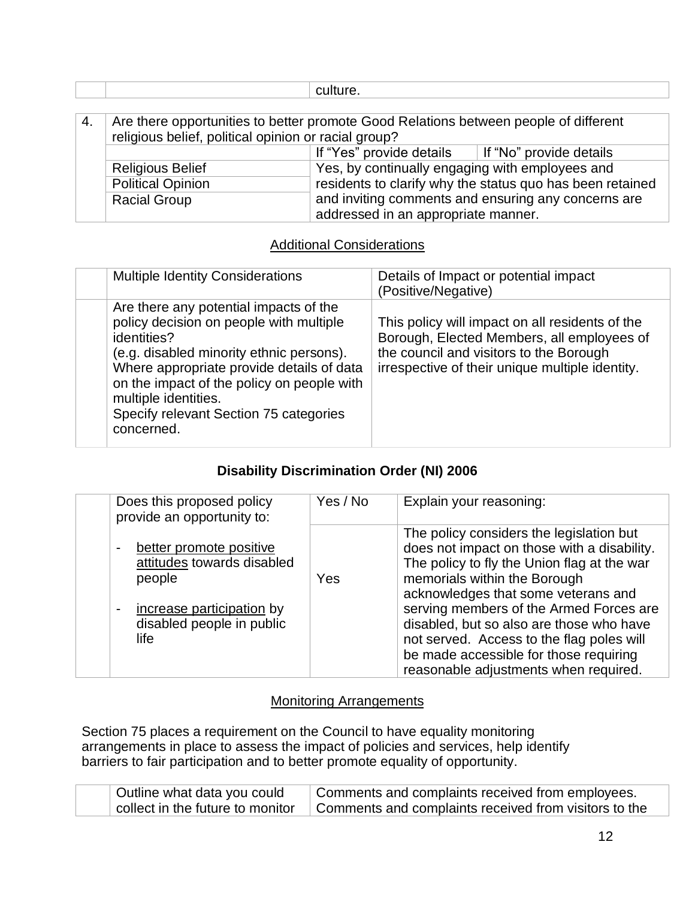|    |                                                      | culture.                                                                             |
|----|------------------------------------------------------|--------------------------------------------------------------------------------------|
|    |                                                      |                                                                                      |
| 4. |                                                      | Are there opportunities to better promote Good Relations between people of different |
|    | religious belief, political opinion or racial group? |                                                                                      |
|    |                                                      | If "Yes" provide details $\vert$ If "No" provide details                             |
|    | <b>Religious Belief</b>                              | Yes, by continually engaging with employees and                                      |
|    | <b>Political Opinion</b>                             | residents to clarify why the status quo has been retained                            |
|    | <b>Racial Group</b>                                  | and inviting comments and ensuring any concerns are                                  |
|    |                                                      | addressed in an appropriate manner.                                                  |

#### Additional Considerations

| <b>Multiple Identity Considerations</b>                                                                                                                                                                                                                                                                                 | Details of Impact or potential impact<br>(Positive/Negative)                                                                                                                                |
|-------------------------------------------------------------------------------------------------------------------------------------------------------------------------------------------------------------------------------------------------------------------------------------------------------------------------|---------------------------------------------------------------------------------------------------------------------------------------------------------------------------------------------|
| Are there any potential impacts of the<br>policy decision on people with multiple<br>identities?<br>(e.g. disabled minority ethnic persons).<br>Where appropriate provide details of data<br>on the impact of the policy on people with<br>multiple identities.<br>Specify relevant Section 75 categories<br>concerned. | This policy will impact on all residents of the<br>Borough, Elected Members, all employees of<br>the council and visitors to the Borough<br>irrespective of their unique multiple identity. |

### **Disability Discrimination Order (NI) 2006**

| Does this proposed policy<br>provide an opportunity to:                                                                                             | Yes / No | Explain your reasoning:                                                                                                                                                                                                                                                                                                                                                                                                              |
|-----------------------------------------------------------------------------------------------------------------------------------------------------|----------|--------------------------------------------------------------------------------------------------------------------------------------------------------------------------------------------------------------------------------------------------------------------------------------------------------------------------------------------------------------------------------------------------------------------------------------|
| better promote positive<br>attitudes towards disabled<br>people<br>increase participation by<br>$\blacksquare$<br>disabled people in public<br>life | Yes      | The policy considers the legislation but<br>does not impact on those with a disability.<br>The policy to fly the Union flag at the war<br>memorials within the Borough<br>acknowledges that some veterans and<br>serving members of the Armed Forces are<br>disabled, but so also are those who have<br>not served. Access to the flag poles will<br>be made accessible for those requiring<br>reasonable adjustments when required. |

#### Monitoring Arrangements

Section 75 places a requirement on the Council to have equality monitoring arrangements in place to assess the impact of policies and services, help identify barriers to fair participation and to better promote equality of opportunity.

| Outline what data you could      | Comments and complaints received from employees.                   |
|----------------------------------|--------------------------------------------------------------------|
| collect in the future to monitor | <sup>1</sup> Comments and complaints received from visitors to the |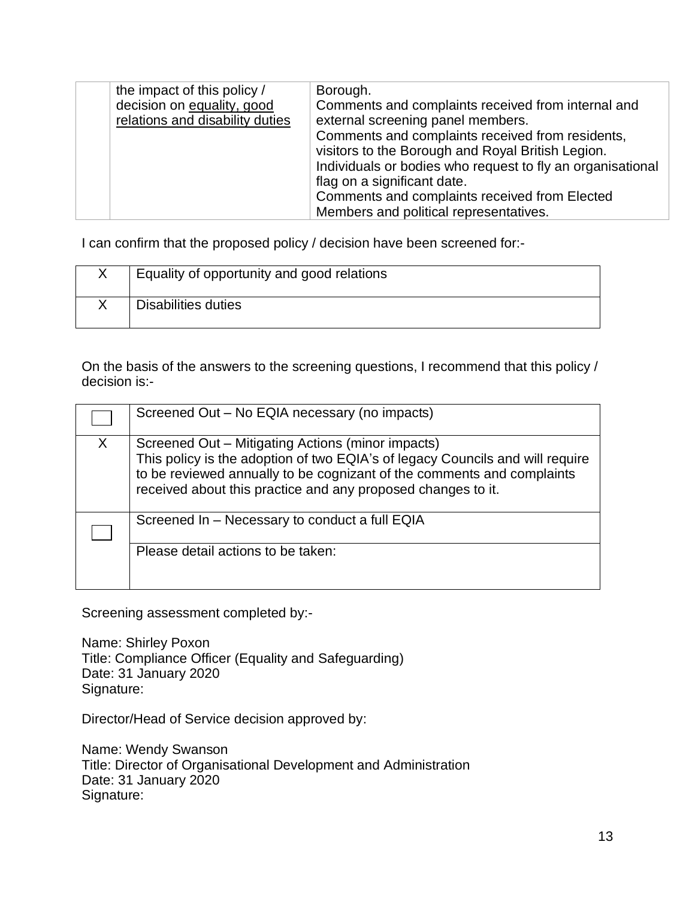| the impact of this policy /     | Borough.                                                   |
|---------------------------------|------------------------------------------------------------|
| decision on equality, good      | Comments and complaints received from internal and         |
| relations and disability duties | external screening panel members.                          |
|                                 | Comments and complaints received from residents,           |
|                                 | visitors to the Borough and Royal British Legion.          |
|                                 | Individuals or bodies who request to fly an organisational |
|                                 | flag on a significant date.                                |
|                                 | Comments and complaints received from Elected              |
|                                 | Members and political representatives.                     |

I can confirm that the proposed policy / decision have been screened for:-

| Equality of opportunity and good relations |
|--------------------------------------------|
| Disabilities duties                        |

On the basis of the answers to the screening questions, I recommend that this policy / decision is:-

|   | Screened Out - No EQIA necessary (no impacts)                                                                                                                                                                                                                                |
|---|------------------------------------------------------------------------------------------------------------------------------------------------------------------------------------------------------------------------------------------------------------------------------|
| X | Screened Out – Mitigating Actions (minor impacts)<br>This policy is the adoption of two EQIA's of legacy Councils and will require<br>to be reviewed annually to be cognizant of the comments and complaints<br>received about this practice and any proposed changes to it. |
|   | Screened In – Necessary to conduct a full EQIA                                                                                                                                                                                                                               |
|   | Please detail actions to be taken:                                                                                                                                                                                                                                           |

Screening assessment completed by:-

Name: Shirley Poxon Title: Compliance Officer (Equality and Safeguarding) Date: 31 January 2020 Signature:

Director/Head of Service decision approved by:

Name: Wendy Swanson Title: Director of Organisational Development and Administration Date: 31 January 2020 Signature: